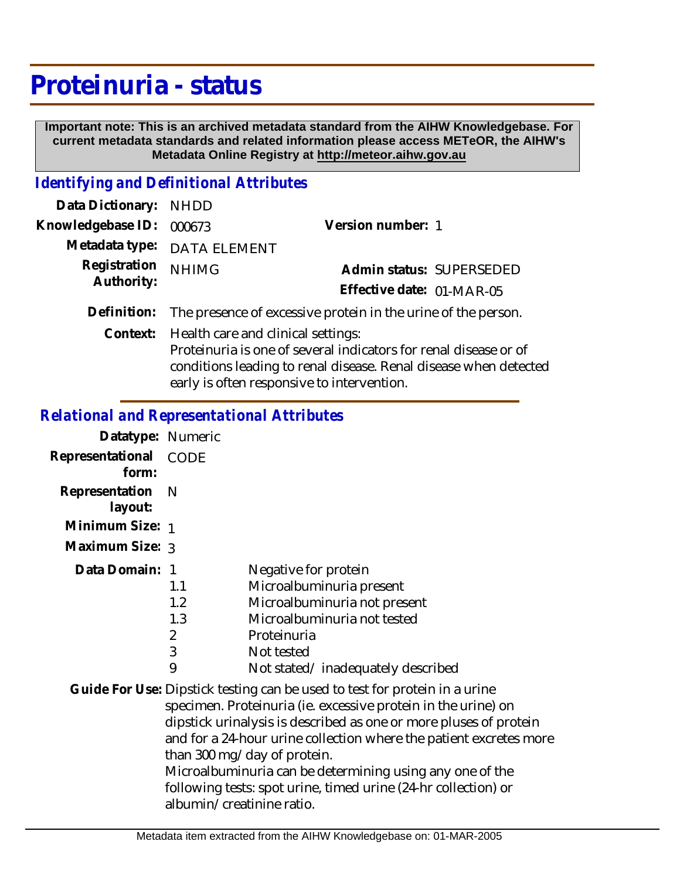## **Proteinuria - status**

 **Important note: This is an archived metadata standard from the AIHW Knowledgebase. For current metadata standards and related information please access METeOR, the AIHW's Metadata Online Registry at http://meteor.aihw.gov.au**

## *Identifying and Definitional Attributes*

| Data Dictionary: NHDD      |                                                               |                                                                                                                                      |
|----------------------------|---------------------------------------------------------------|--------------------------------------------------------------------------------------------------------------------------------------|
| Knowledgebase ID:          | 000673                                                        | Version number: 1                                                                                                                    |
|                            | Metadata type: DATA ELEMENT                                   |                                                                                                                                      |
| Registration<br>Authority: | <b>NHIMG</b>                                                  | Admin status: SUPERSEDED                                                                                                             |
|                            |                                                               | Effective date: 01-MAR-05                                                                                                            |
| Definition:                | The presence of excessive protein in the urine of the person. |                                                                                                                                      |
|                            | Context: Health care and clinical settings:                   | Proteinuria is one of several indicators for renal disease or of<br>conditions leading to renal disease. Renal disease when detected |

early is often responsive to intervention.

## *Relational and Representational Attributes*

| Datatype: Numeric         |                                               |                                                                                                                                                                                                                                                                                                                                                                                                                                                     |
|---------------------------|-----------------------------------------------|-----------------------------------------------------------------------------------------------------------------------------------------------------------------------------------------------------------------------------------------------------------------------------------------------------------------------------------------------------------------------------------------------------------------------------------------------------|
| Representational<br>form: | <b>CODE</b>                                   |                                                                                                                                                                                                                                                                                                                                                                                                                                                     |
| Representation<br>layout: | N                                             |                                                                                                                                                                                                                                                                                                                                                                                                                                                     |
| Minimum Size: 1           |                                               |                                                                                                                                                                                                                                                                                                                                                                                                                                                     |
| Maximum Size: 3           |                                               |                                                                                                                                                                                                                                                                                                                                                                                                                                                     |
| Data Domain: 1            | 1.1<br>1.2<br>1.3<br>$\overline{2}$<br>3<br>9 | Negative for protein<br>Microalbuminuria present<br>Microalbuminuria not present<br>Microalbuminuria not tested<br>Proteinuria<br>Not tested<br>Not stated/inadequately described                                                                                                                                                                                                                                                                   |
|                           | albumin/creatinine ratio.                     | Guide For Use: Dipstick testing can be used to test for protein in a urine<br>specimen. Proteinuria (ie. excessive protein in the urine) on<br>dipstick urinalysis is described as one or more pluses of protein<br>and for a 24-hour urine collection where the patient excretes more<br>than 300 mg/day of protein.<br>Microalbuminuria can be determining using any one of the<br>following tests: spot urine, timed urine (24-hr collection) or |